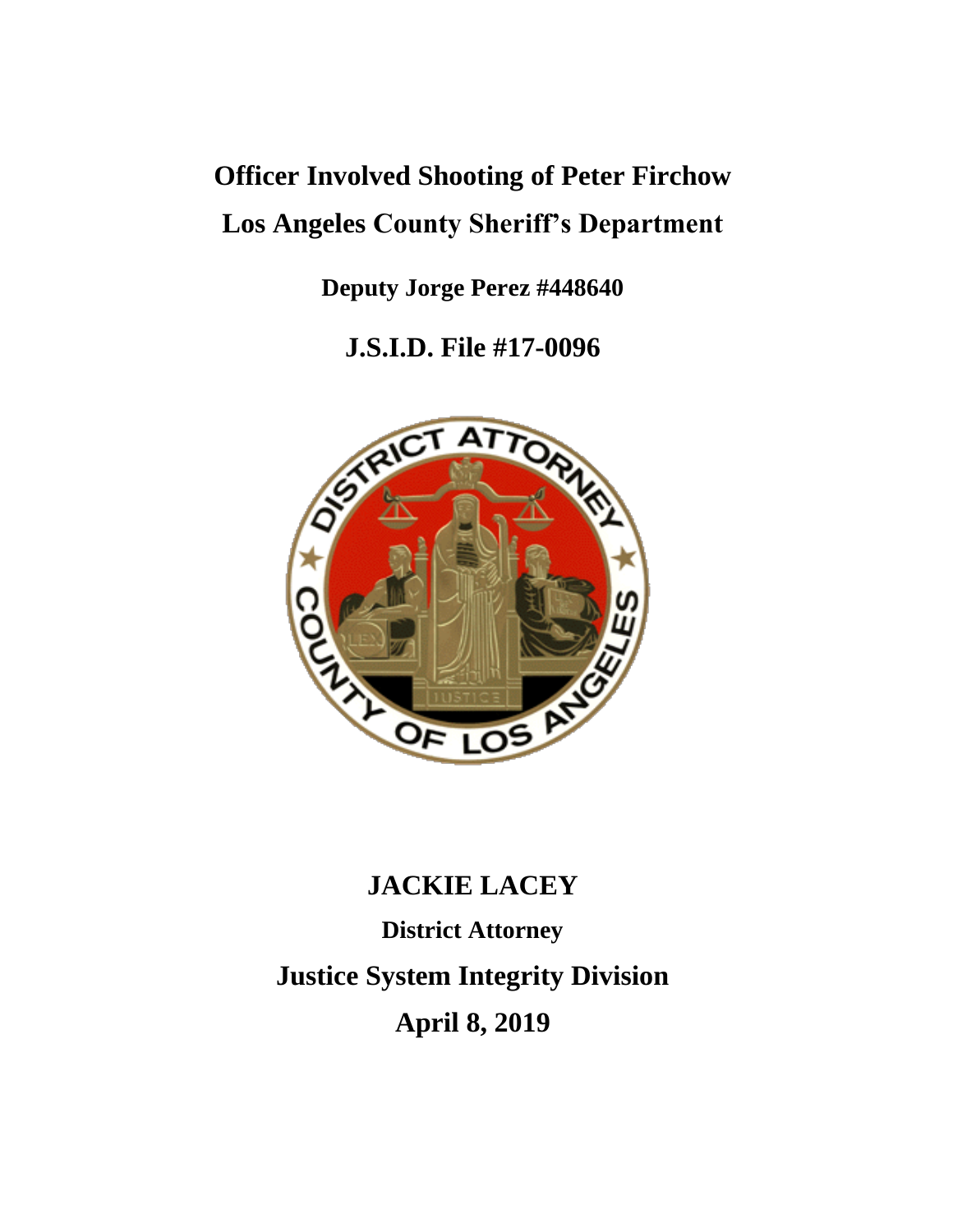# **Officer Involved Shooting of Peter Firchow Los Angeles County Sheriff's Department**

**Deputy Jorge Perez #448640**

**J.S.I.D. File #17-0096**



## **JACKIE LACEY**

**District Attorney Justice System Integrity Division April 8, 2019**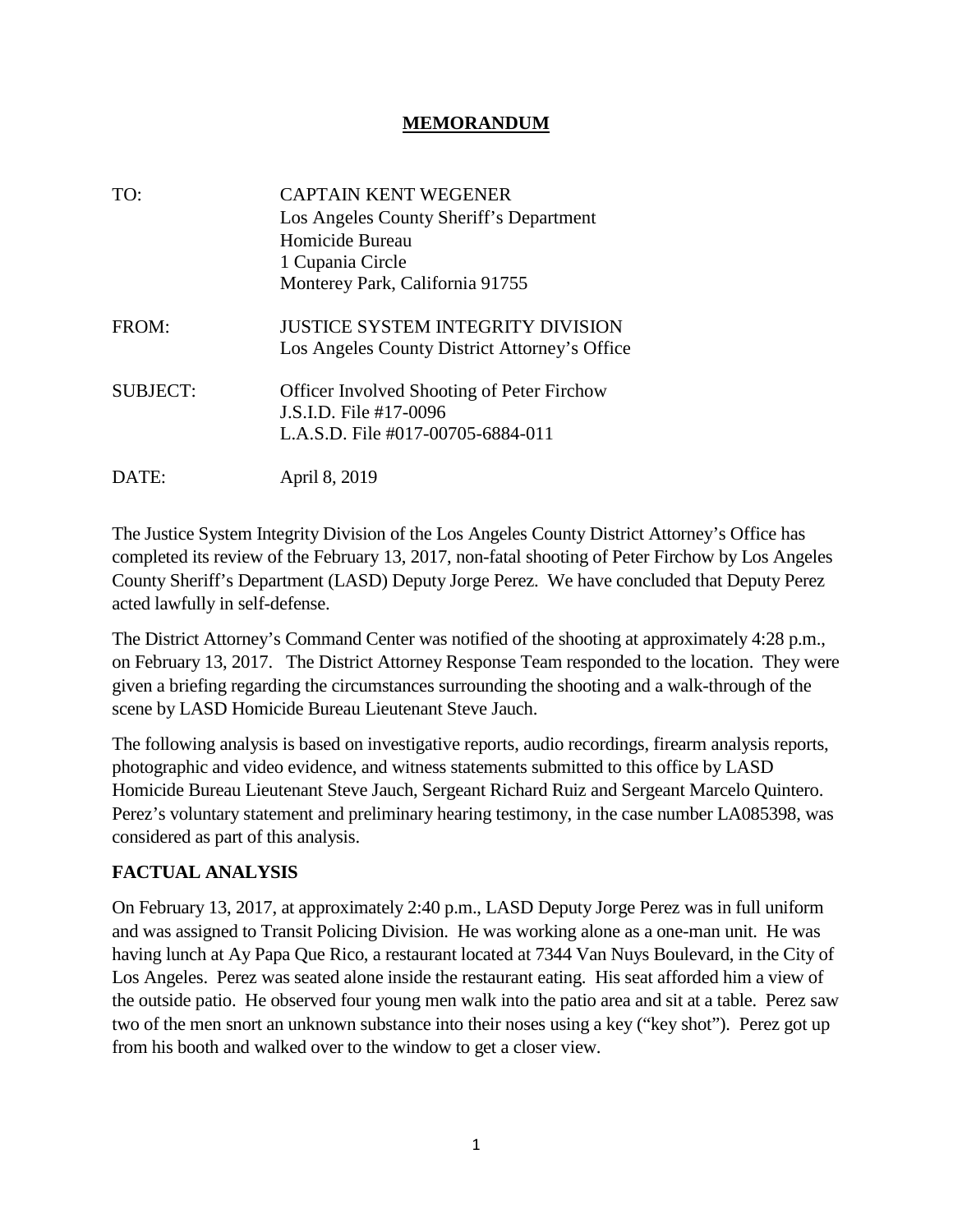#### **MEMORANDUM**

| TO:             | <b>CAPTAIN KENT WEGENER</b><br>Los Angeles County Sheriff's Department<br>Homicide Bureau<br>1 Cupania Circle<br>Monterey Park, California 91755 |
|-----------------|--------------------------------------------------------------------------------------------------------------------------------------------------|
| FROM:           | JUSTICE SYSTEM INTEGRITY DIVISION<br>Los Angeles County District Attorney's Office                                                               |
| <b>SUBJECT:</b> | <b>Officer Involved Shooting of Peter Firchow</b><br>J.S.I.D. File #17-0096<br>L.A.S.D. File #017-00705-6884-011                                 |
| DATE:           | April 8, 2019                                                                                                                                    |

The Justice System Integrity Division of the Los Angeles County District Attorney's Office has completed its review of the February 13, 2017, non-fatal shooting of Peter Firchow by Los Angeles County Sheriff's Department (LASD) Deputy Jorge Perez. We have concluded that Deputy Perez acted lawfully in self-defense.

The District Attorney's Command Center was notified of the shooting at approximately 4:28 p.m., on February 13, 2017. The District Attorney Response Team responded to the location. They were given a briefing regarding the circumstances surrounding the shooting and a walk-through of the scene by LASD Homicide Bureau Lieutenant Steve Jauch.

The following analysis is based on investigative reports, audio recordings, firearm analysis reports, photographic and video evidence, and witness statements submitted to this office by LASD Homicide Bureau Lieutenant Steve Jauch, Sergeant Richard Ruiz and Sergeant Marcelo Quintero. Perez's voluntary statement and preliminary hearing testimony, in the case number LA085398, was considered as part of this analysis.

### **FACTUAL ANALYSIS**

On February 13, 2017, at approximately 2:40 p.m., LASD Deputy Jorge Perez was in full uniform and was assigned to Transit Policing Division. He was working alone as a one-man unit. He was having lunch at Ay Papa Que Rico, a restaurant located at 7344 Van Nuys Boulevard, in the City of Los Angeles. Perez was seated alone inside the restaurant eating. His seat afforded him a view of the outside patio. He observed four young men walk into the patio area and sit at a table. Perez saw two of the men snort an unknown substance into their noses using a key ("key shot"). Perez got up from his booth and walked over to the window to get a closer view.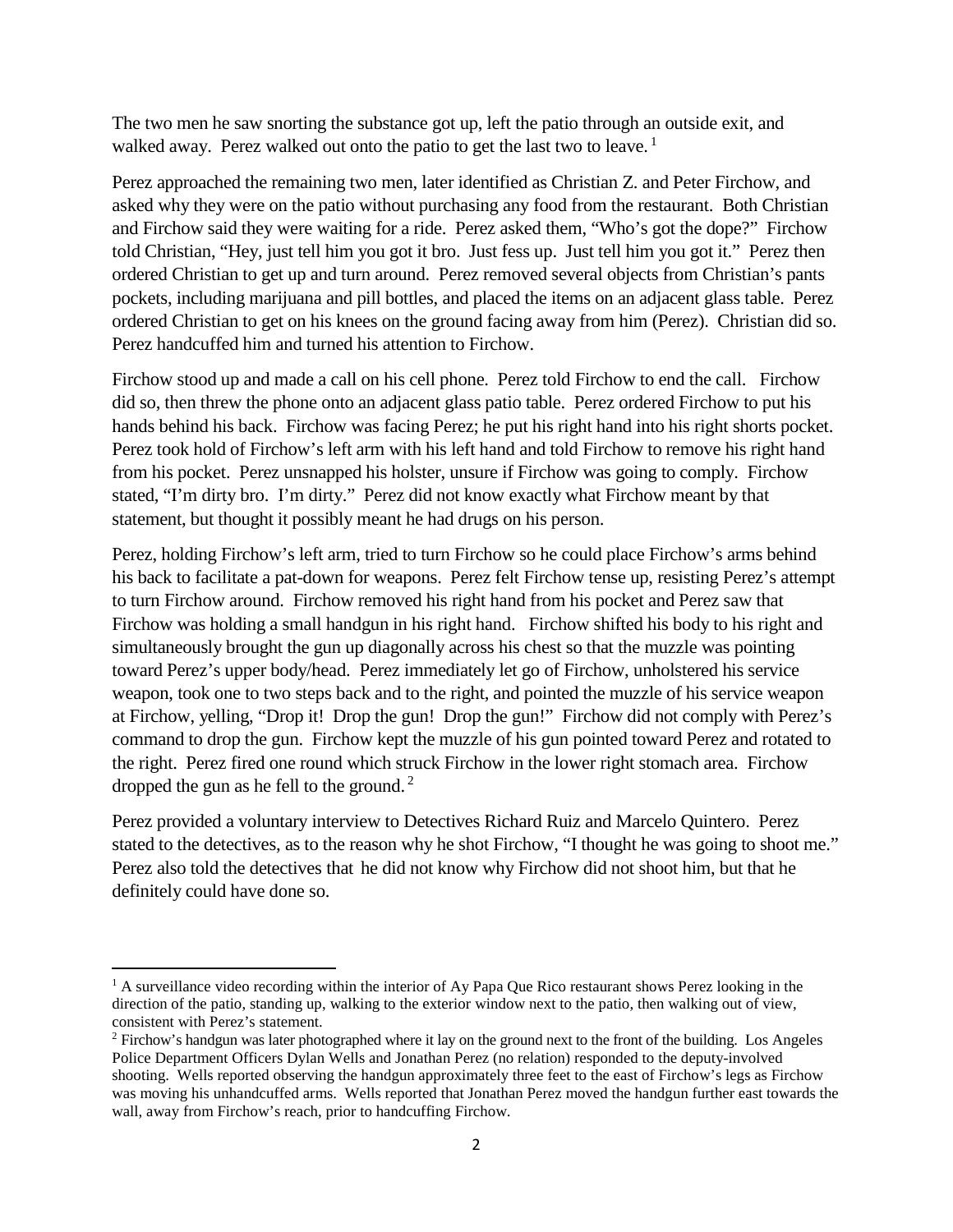The two men he saw snorting the substance got up, left the patio through an outside exit, and walked away. Perez walked out onto the patio to get the last two to leave.<sup>1</sup>

Perez approached the remaining two men, later identified as Christian Z. and Peter Firchow, and asked why they were on the patio without purchasing any food from the restaurant. Both Christian and Firchow said they were waiting for a ride. Perez asked them, "Who's got the dope?" Firchow told Christian, "Hey, just tell him you got it bro. Just fess up. Just tell him you got it." Perez then ordered Christian to get up and turn around. Perez removed several objects from Christian's pants pockets, including marijuana and pill bottles, and placed the items on an adjacent glass table. Perez ordered Christian to get on his knees on the ground facing away from him (Perez). Christian did so. Perez handcuffed him and turned his attention to Firchow.

Firchow stood up and made a call on his cell phone. Perez told Firchow to end the call. Firchow did so, then threw the phone onto an adjacent glass patio table. Perez ordered Firchow to put his hands behind his back. Firchow was facing Perez; he put his right hand into his right shorts pocket. Perez took hold of Firchow's left arm with his left hand and told Firchow to remove his right hand from his pocket. Perez unsnapped his holster, unsure if Firchow was going to comply. Firchow stated, "I'm dirty bro. I'm dirty." Perez did not know exactly what Firchow meant by that statement, but thought it possibly meant he had drugs on his person.

Perez, holding Firchow's left arm, tried to turn Firchow so he could place Firchow's arms behind his back to facilitate a pat-down for weapons. Perez felt Firchow tense up, resisting Perez's attempt to turn Firchow around. Firchow removed his right hand from his pocket and Perez saw that Firchow was holding a small handgun in his right hand. Firchow shifted his body to his right and simultaneously brought the gun up diagonally across his chest so that the muzzle was pointing toward Perez's upper body/head. Perez immediately let go of Firchow, unholstered his service weapon, took one to two steps back and to the right, and pointed the muzzle of his service weapon at Firchow, yelling, "Drop it! Drop the gun! Drop the gun!" Firchow did not comply with Perez's command to drop the gun. Firchow kept the muzzle of his gun pointed toward Perez and rotated to the right. Perez fired one round which struck Firchow in the lower right stomach area. Firchow dropped the gun as he fell to the ground. <sup>2</sup>

Perez provided a voluntary interview to Detectives Richard Ruiz and Marcelo Quintero. Perez stated to the detectives, as to the reason why he shot Firchow, "I thought he was going to shoot me." Perez also told the detectives that he did not know why Firchow did not shoot him, but that he definitely could have done so.

 $<sup>1</sup>$  A surveillance video recording within the interior of Ay Papa Que Rico restaurant shows Perez looking in the</sup> direction of the patio, standing up, walking to the exterior window next to the patio, then walking out of view, consistent with Perez's statement.

<sup>&</sup>lt;sup>2</sup> Firchow's handgun was later photographed where it lay on the ground next to the front of the building. Los Angeles Police Department Officers Dylan Wells and Jonathan Perez (no relation) responded to the deputy-involved shooting. Wells reported observing the handgun approximately three feet to the east of Firchow's legs as Firchow was moving his unhandcuffed arms. Wells reported that Jonathan Perez moved the handgun further east towards the wall, away from Firchow's reach, prior to handcuffing Firchow.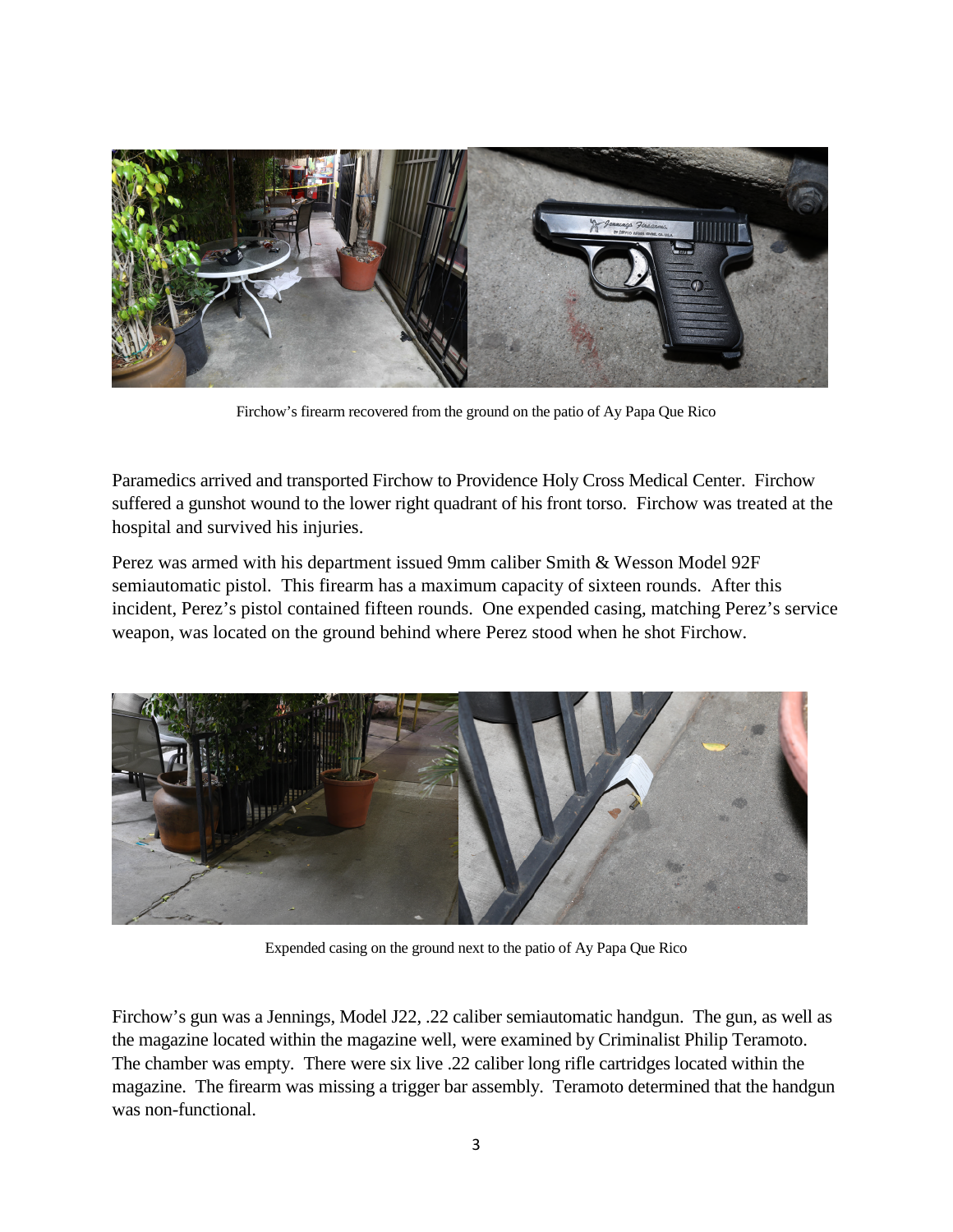

Firchow's firearm recovered from the ground on the patio of Ay Papa Que Rico

Paramedics arrived and transported Firchow to Providence Holy Cross Medical Center. Firchow suffered a gunshot wound to the lower right quadrant of his front torso. Firchow was treated at the hospital and survived his injuries.

Perez was armed with his department issued 9mm caliber Smith & Wesson Model 92F semiautomatic pistol. This firearm has a maximum capacity of sixteen rounds. After this incident, Perez's pistol contained fifteen rounds. One expended casing, matching Perez's service weapon, was located on the ground behind where Perez stood when he shot Firchow.



Expended casing on the ground next to the patio of Ay Papa Que Rico

Firchow's gun was a Jennings, Model J22, .22 caliber semiautomatic handgun. The gun, as well as the magazine located within the magazine well, were examined by Criminalist Philip Teramoto. The chamber was empty. There were six live .22 caliber long rifle cartridges located within the magazine. The firearm was missing a trigger bar assembly. Teramoto determined that the handgun was non-functional.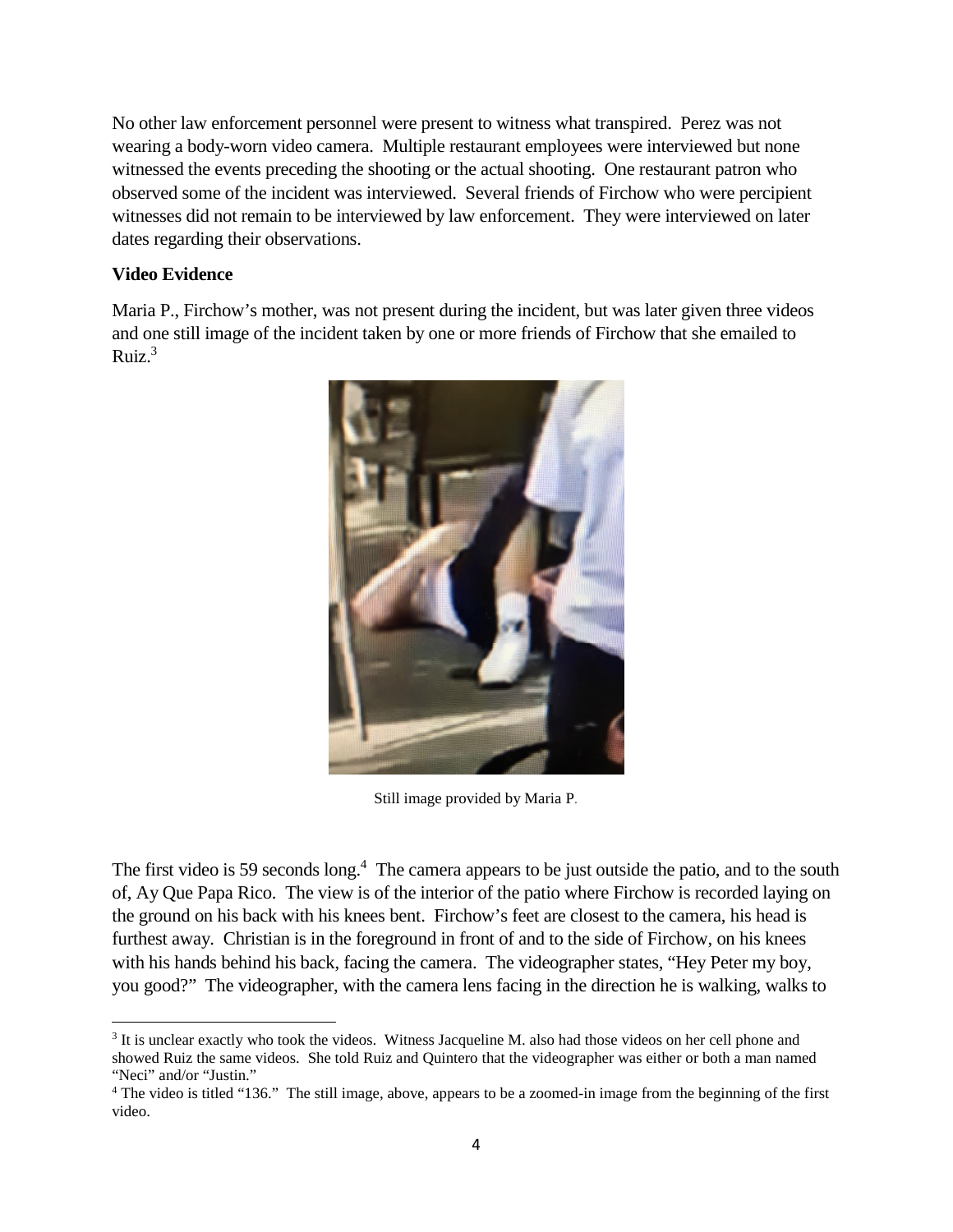No other law enforcement personnel were present to witness what transpired. Perez was not wearing a body-worn video camera. Multiple restaurant employees were interviewed but none witnessed the events preceding the shooting or the actual shooting. One restaurant patron who observed some of the incident was interviewed. Several friends of Firchow who were percipient witnesses did not remain to be interviewed by law enforcement. They were interviewed on later dates regarding their observations.

#### **Video Evidence**

Maria P., Firchow's mother, was not present during the incident, but was later given three videos and one still image of the incident taken by one or more friends of Firchow that she emailed to Ruiz. $3$ 



Still image provided by Maria P*.*

The first video is 59 seconds long.<sup>4</sup> The camera appears to be just outside the patio, and to the south of, Ay Que Papa Rico. The view is of the interior of the patio where Firchow is recorded laying on the ground on his back with his knees bent. Firchow's feet are closest to the camera, his head is furthest away. Christian is in the foreground in front of and to the side of Firchow, on his knees with his hands behind his back, facing the camera. The videographer states, "Hey Peter my boy, you good?" The videographer, with the camera lens facing in the direction he is walking, walks to

<sup>&</sup>lt;sup>3</sup> It is unclear exactly who took the videos. Witness Jacqueline M. also had those videos on her cell phone and showed Ruiz the same videos. She told Ruiz and Quintero that the videographer was either or both a man named "Neci" and/or "Justin."

<sup>&</sup>lt;sup>4</sup> The video is titled "136." The still image, above, appears to be a zoomed-in image from the beginning of the first video.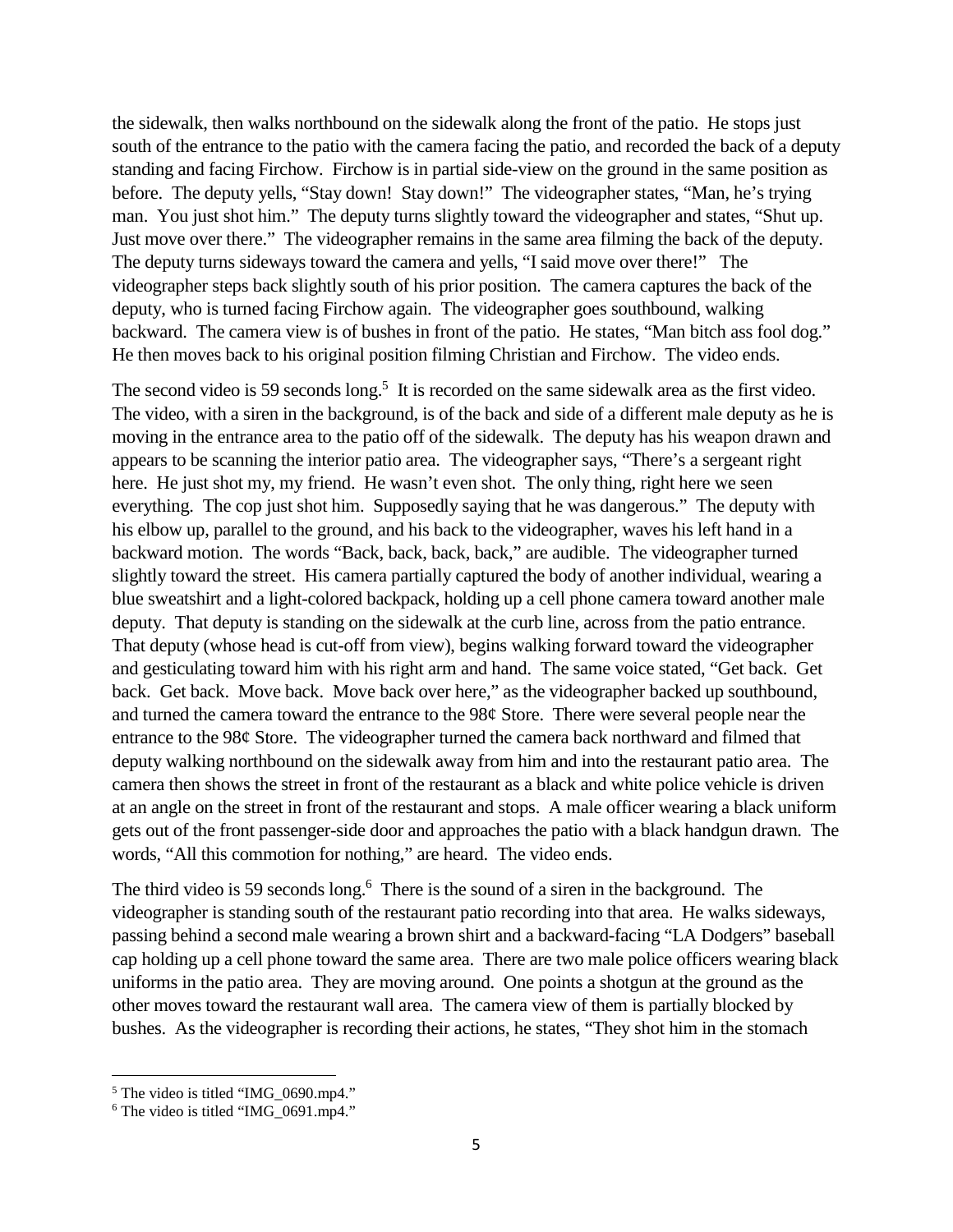the sidewalk, then walks northbound on the sidewalk along the front of the patio. He stops just south of the entrance to the patio with the camera facing the patio, and recorded the back of a deputy standing and facing Firchow. Firchow is in partial side-view on the ground in the same position as before. The deputy yells, "Stay down! Stay down!" The videographer states, "Man, he's trying man. You just shot him." The deputy turns slightly toward the videographer and states, "Shut up. Just move over there." The videographer remains in the same area filming the back of the deputy. The deputy turns sideways toward the camera and yells, "I said move over there!" The videographer steps back slightly south of his prior position. The camera captures the back of the deputy, who is turned facing Firchow again. The videographer goes southbound, walking backward. The camera view is of bushes in front of the patio. He states, "Man bitch ass fool dog." He then moves back to his original position filming Christian and Firchow. The video ends.

The second video is 59 seconds long.<sup>5</sup> It is recorded on the same sidewalk area as the first video. The video, with a siren in the background, is of the back and side of a different male deputy as he is moving in the entrance area to the patio off of the sidewalk. The deputy has his weapon drawn and appears to be scanning the interior patio area. The videographer says, "There's a sergeant right here. He just shot my, my friend. He wasn't even shot. The only thing, right here we seen everything. The cop just shot him. Supposedly saying that he was dangerous." The deputy with his elbow up, parallel to the ground, and his back to the videographer, waves his left hand in a backward motion. The words "Back, back, back, back," are audible. The videographer turned slightly toward the street. His camera partially captured the body of another individual, wearing a blue sweatshirt and a light-colored backpack, holding up a cell phone camera toward another male deputy. That deputy is standing on the sidewalk at the curb line, across from the patio entrance. That deputy (whose head is cut-off from view), begins walking forward toward the videographer and gesticulating toward him with his right arm and hand. The same voice stated, "Get back. Get back. Get back. Move back. Move back over here," as the videographer backed up southbound, and turned the camera toward the entrance to the 98¢ Store. There were several people near the entrance to the 98¢ Store. The videographer turned the camera back northward and filmed that deputy walking northbound on the sidewalk away from him and into the restaurant patio area. The camera then shows the street in front of the restaurant as a black and white police vehicle is driven at an angle on the street in front of the restaurant and stops. A male officer wearing a black uniform gets out of the front passenger-side door and approaches the patio with a black handgun drawn. The words, "All this commotion for nothing," are heard. The video ends.

The third video is 59 seconds long.<sup>6</sup> There is the sound of a siren in the background. The videographer is standing south of the restaurant patio recording into that area. He walks sideways, passing behind a second male wearing a brown shirt and a backward-facing "LA Dodgers" baseball cap holding up a cell phone toward the same area. There are two male police officers wearing black uniforms in the patio area. They are moving around. One points a shotgun at the ground as the other moves toward the restaurant wall area. The camera view of them is partially blocked by bushes. As the videographer is recording their actions, he states, "They shot him in the stomach

<sup>&</sup>lt;sup>5</sup> The video is titled "IMG\_0690.mp4."

 $6$  The video is titled "IMG 0691.mp4."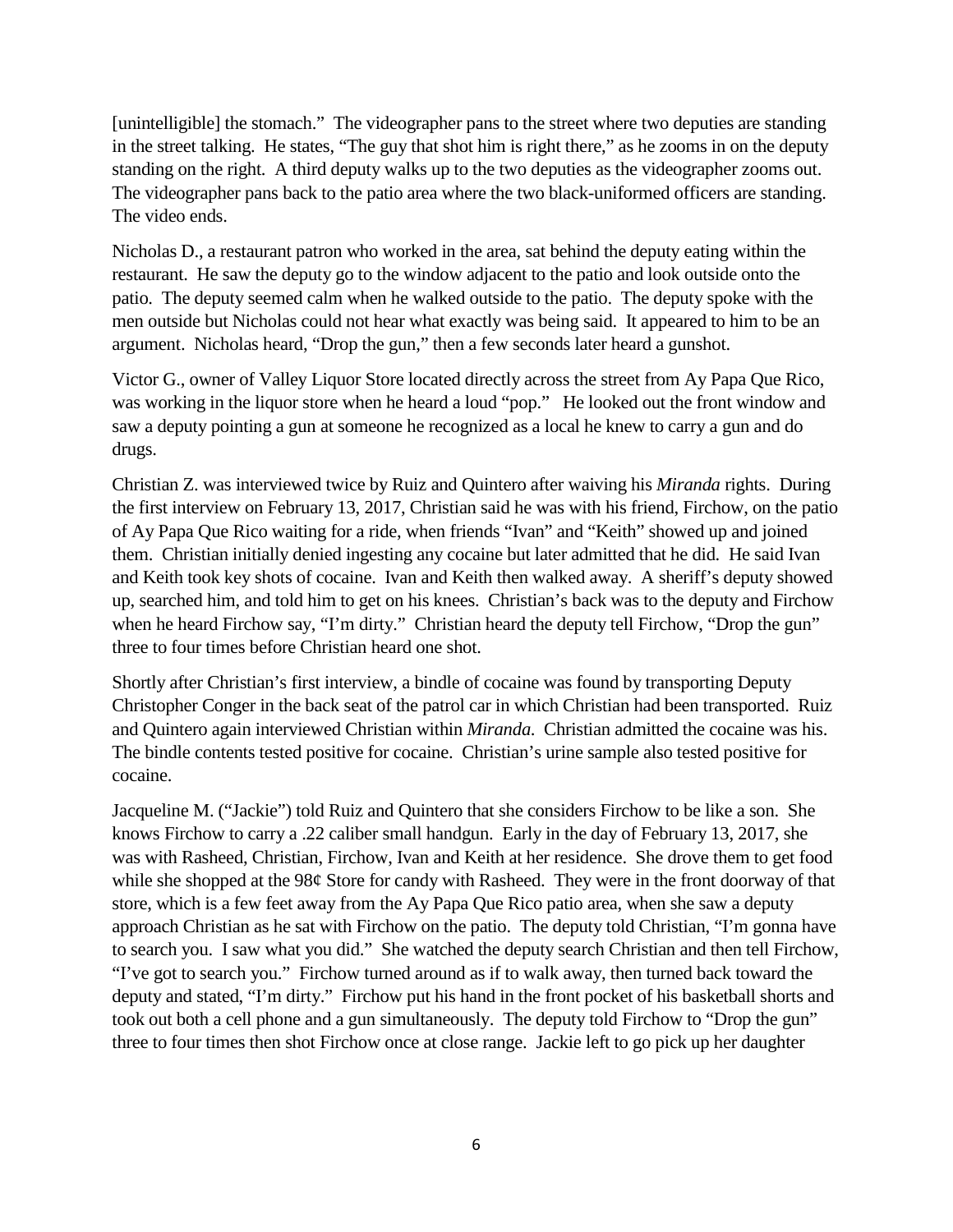[unintelligible] the stomach." The videographer pans to the street where two deputies are standing in the street talking. He states, "The guy that shot him is right there," as he zooms in on the deputy standing on the right. A third deputy walks up to the two deputies as the videographer zooms out. The videographer pans back to the patio area where the two black-uniformed officers are standing. The video ends.

Nicholas D., a restaurant patron who worked in the area, sat behind the deputy eating within the restaurant. He saw the deputy go to the window adjacent to the patio and look outside onto the patio. The deputy seemed calm when he walked outside to the patio. The deputy spoke with the men outside but Nicholas could not hear what exactly was being said. It appeared to him to be an argument. Nicholas heard, "Drop the gun," then a few seconds later heard a gunshot.

Victor G., owner of Valley Liquor Store located directly across the street from Ay Papa Que Rico, was working in the liquor store when he heard a loud "pop." He looked out the front window and saw a deputy pointing a gun at someone he recognized as a local he knew to carry a gun and do drugs.

Christian Z. was interviewed twice by Ruiz and Quintero after waiving his *Miranda* rights. During the first interview on February 13, 2017, Christian said he was with his friend, Firchow, on the patio of Ay Papa Que Rico waiting for a ride, when friends "Ivan" and "Keith" showed up and joined them. Christian initially denied ingesting any cocaine but later admitted that he did. He said Ivan and Keith took key shots of cocaine. Ivan and Keith then walked away. A sheriff's deputy showed up, searched him, and told him to get on his knees. Christian's back was to the deputy and Firchow when he heard Firchow say, "I'm dirty." Christian heard the deputy tell Firchow, "Drop the gun" three to four times before Christian heard one shot.

Shortly after Christian's first interview, a bindle of cocaine was found by transporting Deputy Christopher Conger in the back seat of the patrol car in which Christian had been transported. Ruiz and Quintero again interviewed Christian within *Miranda*. Christian admitted the cocaine was his. The bindle contents tested positive for cocaine. Christian's urine sample also tested positive for cocaine.

Jacqueline M. ("Jackie") told Ruiz and Quintero that she considers Firchow to be like a son. She knows Firchow to carry a .22 caliber small handgun. Early in the day of February 13, 2017, she was with Rasheed, Christian, Firchow, Ivan and Keith at her residence. She drove them to get food while she shopped at the 98¢ Store for candy with Rasheed. They were in the front doorway of that store, which is a few feet away from the Ay Papa Que Rico patio area, when she saw a deputy approach Christian as he sat with Firchow on the patio. The deputy told Christian, "I'm gonna have to search you. I saw what you did." She watched the deputy search Christian and then tell Firchow, "I've got to search you." Firchow turned around as if to walk away, then turned back toward the deputy and stated, "I'm dirty." Firchow put his hand in the front pocket of his basketball shorts and took out both a cell phone and a gun simultaneously. The deputy told Firchow to "Drop the gun" three to four times then shot Firchow once at close range. Jackie left to go pick up her daughter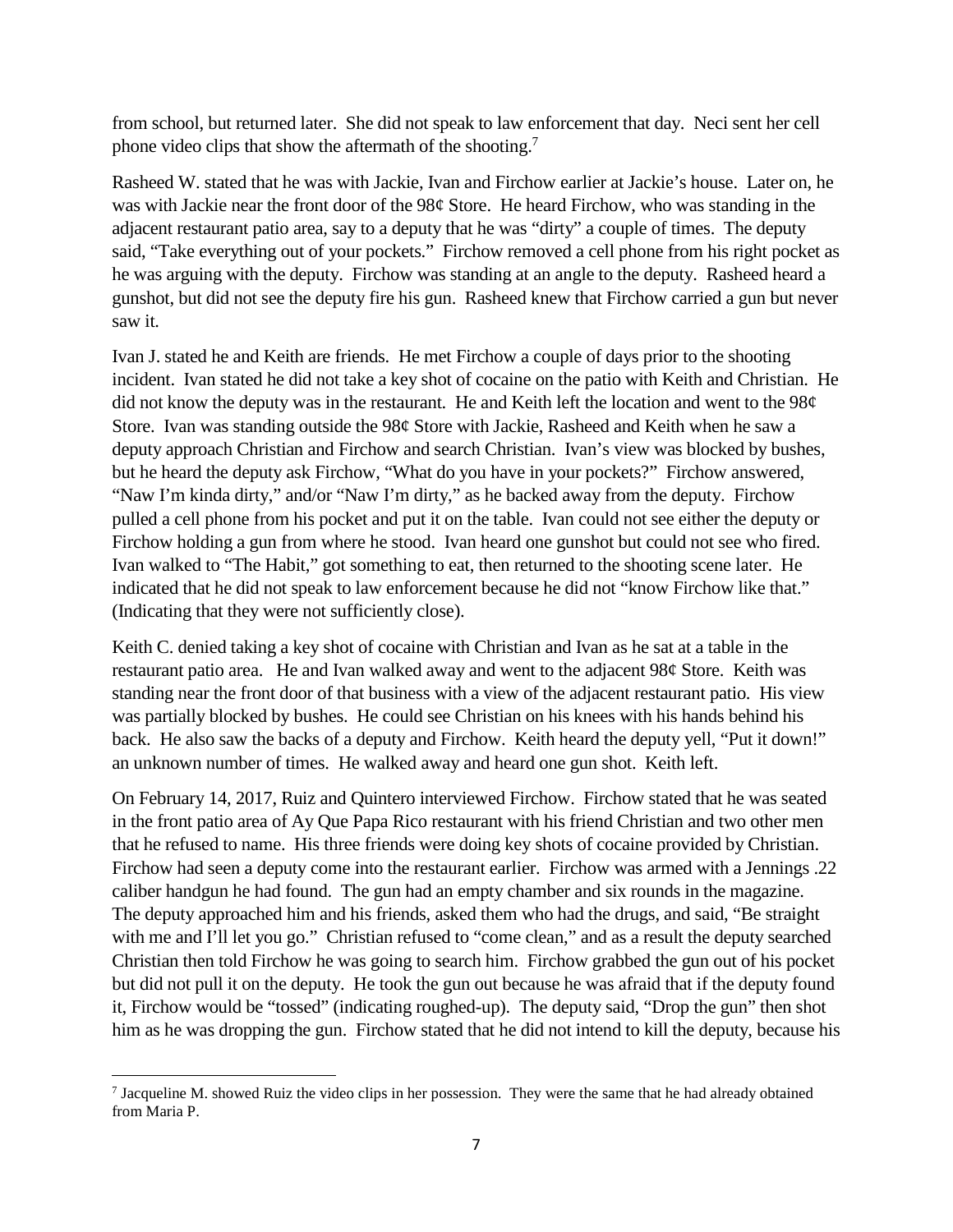from school, but returned later. She did not speak to law enforcement that day. Neci sent her cell phone video clips that show the aftermath of the shooting.<sup>7</sup>

Rasheed W. stated that he was with Jackie, Ivan and Firchow earlier at Jackie's house. Later on, he was with Jackie near the front door of the 98¢ Store. He heard Firchow, who was standing in the adjacent restaurant patio area, say to a deputy that he was "dirty" a couple of times. The deputy said, "Take everything out of your pockets." Firchow removed a cell phone from his right pocket as he was arguing with the deputy. Firchow was standing at an angle to the deputy. Rasheed heard a gunshot, but did not see the deputy fire his gun. Rasheed knew that Firchow carried a gun but never saw it.

Ivan J. stated he and Keith are friends. He met Firchow a couple of days prior to the shooting incident. Ivan stated he did not take a key shot of cocaine on the patio with Keith and Christian. He did not know the deputy was in the restaurant. He and Keith left the location and went to the 98¢ Store. Ivan was standing outside the 98¢ Store with Jackie, Rasheed and Keith when he saw a deputy approach Christian and Firchow and search Christian. Ivan's view was blocked by bushes, but he heard the deputy ask Firchow, "What do you have in your pockets?" Firchow answered, "Naw I'm kinda dirty," and/or "Naw I'm dirty," as he backed away from the deputy. Firchow pulled a cell phone from his pocket and put it on the table. Ivan could not see either the deputy or Firchow holding a gun from where he stood. Ivan heard one gunshot but could not see who fired. Ivan walked to "The Habit," got something to eat, then returned to the shooting scene later. He indicated that he did not speak to law enforcement because he did not "know Firchow like that." (Indicating that they were not sufficiently close).

Keith C. denied taking a key shot of cocaine with Christian and Ivan as he sat at a table in the restaurant patio area. He and Ivan walked away and went to the adjacent 98¢ Store. Keith was standing near the front door of that business with a view of the adjacent restaurant patio. His view was partially blocked by bushes. He could see Christian on his knees with his hands behind his back. He also saw the backs of a deputy and Firchow. Keith heard the deputy yell, "Put it down!" an unknown number of times. He walked away and heard one gun shot. Keith left.

On February 14, 2017, Ruiz and Quintero interviewed Firchow. Firchow stated that he was seated in the front patio area of Ay Que Papa Rico restaurant with his friend Christian and two other men that he refused to name. His three friends were doing key shots of cocaine provided by Christian. Firchow had seen a deputy come into the restaurant earlier. Firchow was armed with a Jennings .22 caliber handgun he had found. The gun had an empty chamber and six rounds in the magazine. The deputy approached him and his friends, asked them who had the drugs, and said, "Be straight with me and I'll let you go." Christian refused to "come clean," and as a result the deputy searched Christian then told Firchow he was going to search him. Firchow grabbed the gun out of his pocket but did not pull it on the deputy. He took the gun out because he was afraid that if the deputy found it, Firchow would be "tossed" (indicating roughed-up). The deputy said, "Drop the gun" then shot him as he was dropping the gun. Firchow stated that he did not intend to kill the deputy, because his

<sup>&</sup>lt;sup>7</sup> Jacqueline M. showed Ruiz the video clips in her possession. They were the same that he had already obtained from Maria P.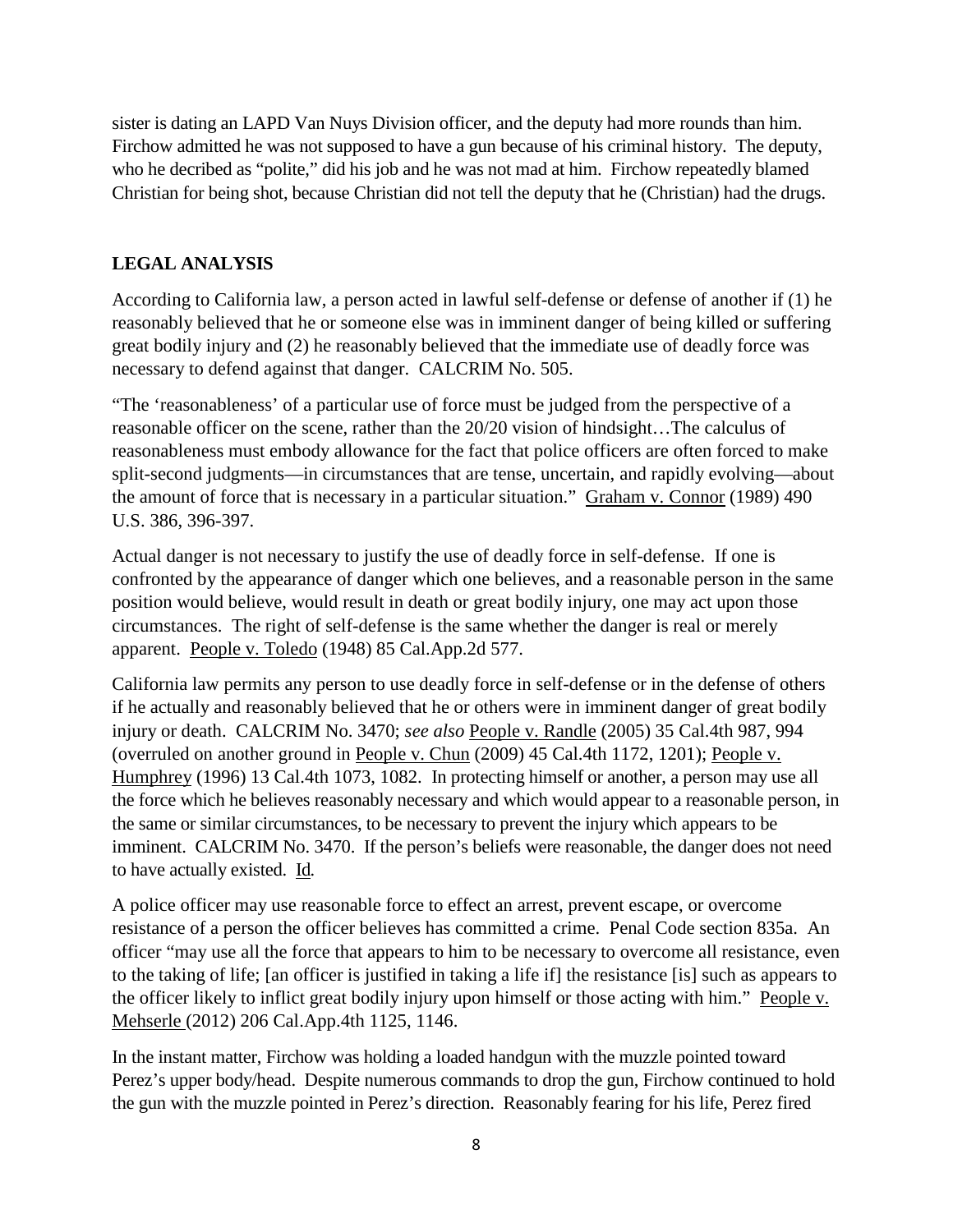sister is dating an LAPD Van Nuys Division officer, and the deputy had more rounds than him. Firchow admitted he was not supposed to have a gun because of his criminal history. The deputy, who he decribed as "polite," did his job and he was not mad at him. Firchow repeatedly blamed Christian for being shot, because Christian did not tell the deputy that he (Christian) had the drugs.

### **LEGAL ANALYSIS**

According to California law, a person acted in lawful self-defense or defense of another if (1) he reasonably believed that he or someone else was in imminent danger of being killed or suffering great bodily injury and (2) he reasonably believed that the immediate use of deadly force was necessary to defend against that danger. CALCRIM No. 505.

"The 'reasonableness' of a particular use of force must be judged from the perspective of a reasonable officer on the scene, rather than the 20/20 vision of hindsight…The calculus of reasonableness must embody allowance for the fact that police officers are often forced to make split-second judgments—in circumstances that are tense, uncertain, and rapidly evolving—about the amount of force that is necessary in a particular situation." Graham v. Connor (1989) 490 U.S. 386, 396-397.

Actual danger is not necessary to justify the use of deadly force in self-defense. If one is confronted by the appearance of danger which one believes, and a reasonable person in the same position would believe, would result in death or great bodily injury, one may act upon those circumstances. The right of self-defense is the same whether the danger is real or merely apparent. People v. Toledo (1948) 85 Cal.App.2d 577.

California law permits any person to use deadly force in self-defense or in the defense of others if he actually and reasonably believed that he or others were in imminent danger of great bodily injury or death. CALCRIM No. 3470; *see also* People v. Randle (2005) 35 Cal.4th 987, 994 (overruled on another ground in People v. Chun (2009) 45 Cal.4th 1172, 1201); People v. Humphrey (1996) 13 Cal.4th 1073, 1082. In protecting himself or another, a person may use all the force which he believes reasonably necessary and which would appear to a reasonable person, in the same or similar circumstances, to be necessary to prevent the injury which appears to be imminent. CALCRIM No. 3470. If the person's beliefs were reasonable, the danger does not need to have actually existed. Id*.*

A police officer may use reasonable force to effect an arrest, prevent escape, or overcome resistance of a person the officer believes has committed a crime. Penal Code section 835a. An officer "may use all the force that appears to him to be necessary to overcome all resistance, even to the taking of life; [an officer is justified in taking a life if] the resistance [is] such as appears to the officer likely to inflict great bodily injury upon himself or those acting with him." People v. Mehserle (2012) 206 Cal.App.4th 1125, 1146.

In the instant matter, Firchow was holding a loaded handgun with the muzzle pointed toward Perez's upper body/head. Despite numerous commands to drop the gun, Firchow continued to hold the gun with the muzzle pointed in Perez's direction. Reasonably fearing for his life, Perez fired